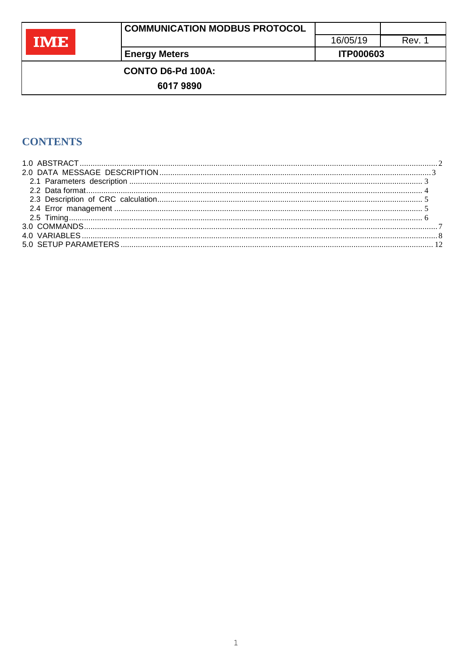| $\mathcal{L}^{\text{max}}_{\text{max}}$ and $\mathcal{L}^{\text{max}}_{\text{max}}$ and $\mathcal{L}^{\text{max}}_{\text{max}}$ | $\mathcal{L}^{\text{max}}_{\text{max}}$ and $\mathcal{L}^{\text{max}}_{\text{max}}$ and $\mathcal{L}^{\text{max}}_{\text{max}}$ and $\mathcal{L}^{\text{max}}_{\text{max}}$ |
|---------------------------------------------------------------------------------------------------------------------------------|-----------------------------------------------------------------------------------------------------------------------------------------------------------------------------|
|                                                                                                                                 |                                                                                                                                                                             |
|                                                                                                                                 | eri<br>______                                                                                                                                                               |

Rev. 1

**Energy Meters** 

CONTO D6-Pd 100A:

60179890

# **CONTENTS**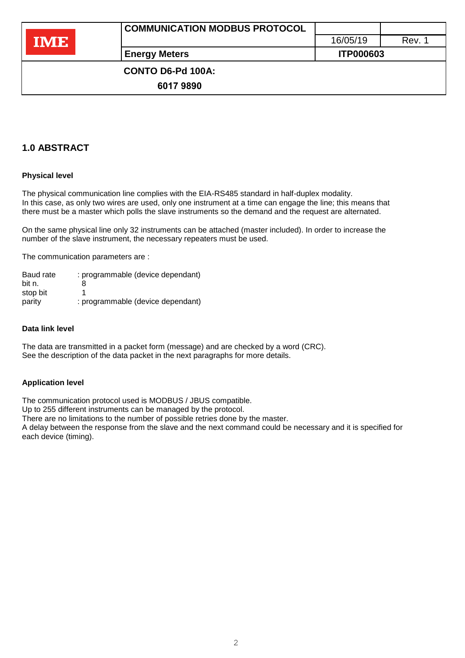**Energy Meters ITP000603** 

 **CONTO D6-Pd 100A:** 

**6017 9890**

# **1.0 ABSTRACT**

## **Physical level**

The physical communication line complies with the EIA-RS485 standard in half-duplex modality. In this case, as only two wires are used, only one instrument at a time can engage the line; this means that there must be a master which polls the slave instruments so the demand and the request are alternated.

On the same physical line only 32 instruments can be attached (master included). In order to increase the number of the slave instrument, the necessary repeaters must be used.

The communication parameters are :

| Baud rate | : programmable (device dependant) |
|-----------|-----------------------------------|
| bit n.    | 8                                 |
| stop bit  |                                   |
| parity    | : programmable (device dependant) |

#### **Data link level**

The data are transmitted in a packet form (message) and are checked by a word (CRC). See the description of the data packet in the next paragraphs for more details.

### **Application level**

The communication protocol used is MODBUS / JBUS compatible.

Up to 255 different instruments can be managed by the protocol.

There are no limitations to the number of possible retries done by the master.

A delay between the response from the slave and the next command could be necessary and it is specified for each device (timing).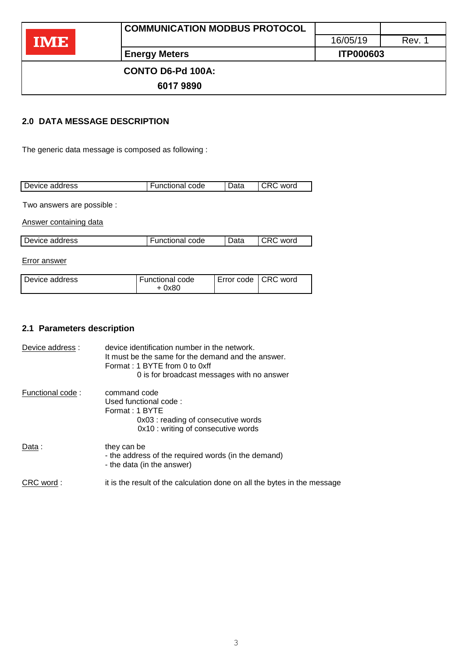|       | <b>COMMUNICATION MODBUS PROTOCOL</b> |                  |        |
|-------|--------------------------------------|------------------|--------|
| TIVIE |                                      | 16/05/19         | Rev. 1 |
|       | <b>Energy Meters</b>                 | <b>ITP000603</b> |        |
|       | <b>CONTO D6-Pd 100A:</b>             |                  |        |
|       | 60179890                             |                  |        |

## <span id="page-2-0"></span>**2.0 DATA MESSAGE DESCRIPTION**

The generic data message is composed as following :

| Device address<br><b>Functional code</b><br>word<br>Data |  |  |
|----------------------------------------------------------|--|--|
|                                                          |  |  |

Two answers are possible :

Answer containing data

| l Device address | ⊩Functional code | Data | CRC word |
|------------------|------------------|------|----------|

Error answer

## **2.1 Parameters description**

| Device address:  | device identification number in the network.<br>It must be the same for the demand and the answer.<br>Format: 1 BYTE from 0 to 0xff<br>0 is for broadcast messages with no answer |
|------------------|-----------------------------------------------------------------------------------------------------------------------------------------------------------------------------------|
| Functional code: | command code<br>Used functional code:<br>Format: 1 BYTE<br>0x03 : reading of consecutive words<br>0x10 : writing of consecutive words                                             |
| Data:            | they can be<br>- the address of the required words (in the demand)<br>- the data (in the answer)                                                                                  |
| CRC word:        | it is the result of the calculation done on all the bytes in the message                                                                                                          |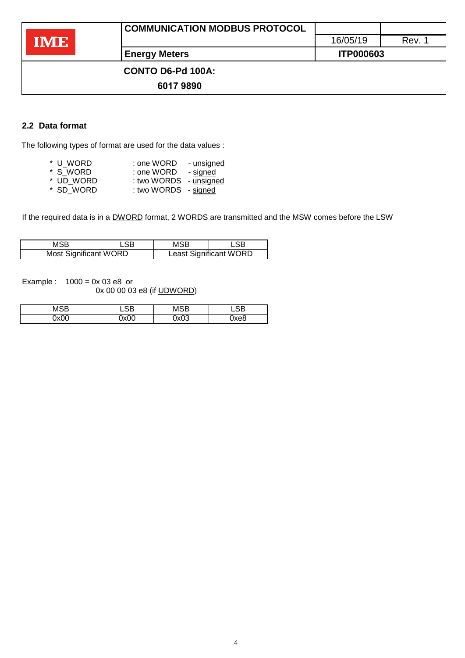**CONTO D6-Pd 100A:** 

**6017 9890**

## **2.2 Data format**

The following types of format are used for the data values :

| * U WORD  | : one WORD           | - unsigned |
|-----------|----------------------|------------|
| * S WORD  | : one WORD           | - signed   |
| * UD WORD | : two WORDS          | - unsigned |
| * SD WORD | : two WORDS - signed |            |

If the required data is in a DWORD format, 2 WORDS are transmitted and the MSW comes before the LSW

| MSB                          |  | MSB |                               |
|------------------------------|--|-----|-------------------------------|
| LSB                          |  | LSB |                               |
| <b>Most Significant WORD</b> |  |     | <b>Least Significant WORD</b> |

Example :  $1000 = 0x 03 e8$  or

0x 00 00 03 e8 (if UDWORD)

| 10D  | ``   | 100  | 0D  |
|------|------|------|-----|
| λ×∪∪ | nvnn | 2x03 | хе8 |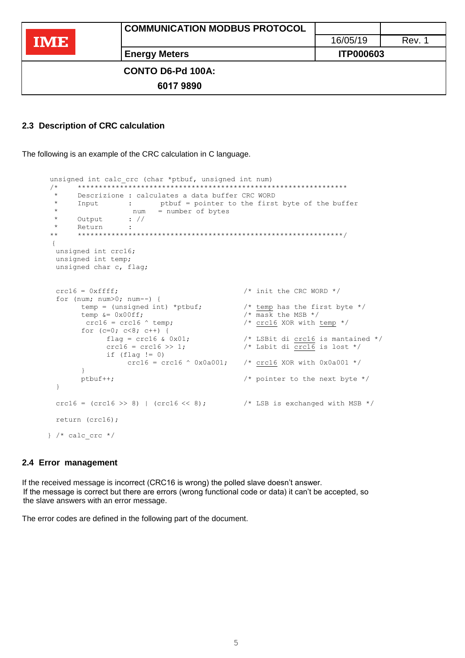|            | COMMUNICATION MODBUS PROTOCOL |                  |        |
|------------|-------------------------------|------------------|--------|
| <b>IME</b> |                               | 16/05/19         | Rev. 1 |
|            | <b>Energy Meters</b>          | <b>ITP000603</b> |        |
|            | <b>CONTO D6-Pd 100A:</b>      |                  |        |
|            | 60179890                      |                  |        |
|            |                               |                  |        |

#### **2.3 Description of CRC calculation**

The following is an example of the CRC calculation in C language.

```
unsigned int calc crc (char *ptbuf, unsigned int num)
/* ****************************************************************
 * Descrizione : calculates a data buffer CRC WORD
 * Input : ptbuf = pointer to the first byte of the buffer<br>* num = number of bytes
 * num = number of bytes<br>* Output . //\begin{array}{ccc} * & \text{Output} & : // \\ * & \text{Return} & \cdot \end{array}* Return<br>** ******
       ** ***************************************************************/
 {
 unsigned int crc16; 
 unsigned int temp; 
 unsigned char c, flag;
 crc16 = 0xfftf; /* init the CRC WORD */
  for (num; num>0; num--) {
        temp = (unsigned int) *ptbuf; \frac{1}{2} /* temp has the first byte */
        temp \&= 0 \times 00ff; \frac{1}{\sqrt{5}} /* mask the MSB */
         crc16 = crc16 \land temp; \hspace{1.6cm} /* crc16 XOR with temp */
        for (c=0; c<8; c++) {<br>flag = crc16 & 0x01;
               flag = crc16 & 0x01; \qquad \qquad /* LSBit di crc16 is mantained */
               crc16 = crc16 >> 1; \frac{1}{5} /* Lsbit di crc16 is lost */
              if (flag != 0)<br>crc16 = crc16 \land 0x0a001;
                                                \frac{1}{x} crc16 XOR with 0x0a001 */
        }
        ptbuf++; /* pointer to the next byte */
  }
 crc16 = (crc16 \gg 8) | (crc16 \ll 8); / LSB is exchanged with MSB */
 return (crc16);
} /* calc crc */
```
#### <span id="page-4-0"></span>**2.4 Error management**

If the received message is incorrect (CRC16 is wrong) the polled slave doesn't answer. If the message is correct but there are errors (wrong functional code or data) it can't be accepted, so the slave answers with an error message.

The error codes are defined in the following part of the document.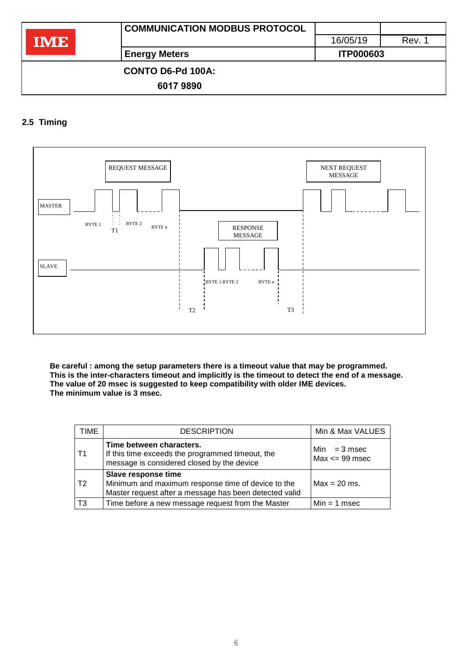|      | <b>COMMUNICATION MODBUS PROTOCOL</b> |                  |        |
|------|--------------------------------------|------------------|--------|
| IME. |                                      | 16/05/19         | Rev. 1 |
|      | <b>Energy Meters</b>                 | <b>ITP000603</b> |        |
|      | <b>CONTO D6-Pd 100A:</b>             |                  |        |
|      | 60179890                             |                  |        |

## <span id="page-5-0"></span>**2.5 Timing**



**Be careful : among the setup parameters there is a timeout value that may be programmed. This is the inter-characters timeout and implicitly is the timeout to detect the end of a message. The value of 20 msec is suggested to keep compatibility with older IME devices. The minimum value is 3 msec.**

| TIME | <b>DESCRIPTION</b>                                                                                                                  | Min & Max VALUES                     |
|------|-------------------------------------------------------------------------------------------------------------------------------------|--------------------------------------|
| Τ1   | Time between characters.<br>If this time exceeds the programmed timeout, the<br>message is considered closed by the device          | $Min = 3$ msec<br>$Max \leq 99$ msec |
| T2   | Slave response time<br>Minimum and maximum response time of device to the<br>Master request after a message has been detected valid | $Max = 20$ ms.                       |
| T3   | Time before a new message request from the Master                                                                                   | $Min = 1$ msec                       |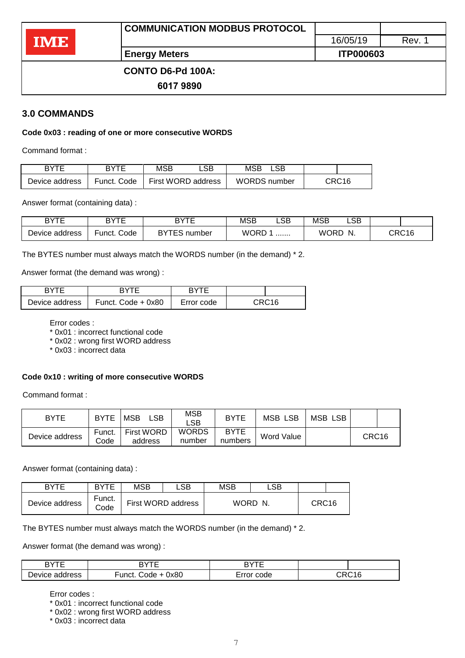|            | <b>COMMUNICATION MODBUS PROTOCOL</b> |                  |        |  |
|------------|--------------------------------------|------------------|--------|--|
| <b>IME</b> |                                      | 16/05/19         | Rev. 1 |  |
|            | <b>Energy Meters</b>                 | <b>ITP000603</b> |        |  |
|            | <b>CONTO D6-Pd 100A:</b>             |                  |        |  |
|            | 60179890                             |                  |        |  |

### <span id="page-6-0"></span>**3.0 COMMANDS**

#### **Code 0x03 : reading of one or more consecutive WORDS**

Command format :

| <b>BYTE</b>    | <b>RYTE</b> | MSB | ∟SB.               | MSB                 | .SB |       |
|----------------|-------------|-----|--------------------|---------------------|-----|-------|
| Device address | Funct. Code |     | First WORD address | <b>WORDS</b> number |     | CRC16 |

Answer format (containing data) :

| DVTE<br>--<br>┕ | DVTC<br>D      | DVTE<br>D              | MSB  | LSB | <b>MSB</b>  | LSB |       |
|-----------------|----------------|------------------------|------|-----|-------------|-----|-------|
| Device address  | Code<br>∙unct. | <b>DVTEC</b><br>number | WORD | .   | <b>WORD</b> | N.  | CRC16 |

The BYTES number must always match the WORDS number (in the demand) \* 2.

Answer format (the demand was wrong) :

| <b>BYTE</b>    | RYTF                 | <b>RYTE</b> |                   |
|----------------|----------------------|-------------|-------------------|
| Device address | Funct. Code $+$ 0x80 | Error code  | CRC <sub>16</sub> |

Error codes :

\* 0x01 : incorrect functional code

\* 0x02 : wrong first WORD address

\* 0x03 : incorrect data

#### **Code 0x10 : writing of more consecutive WORDS**

Command format :

| <b>BYTE</b>    | <b>BYTE</b>    | <b>MSB</b><br>LSB            | <b>MSB</b><br>∟SB⊹     | <b>BYTE</b>            | LSB<br>MSB | <b>MSB</b><br><b>LSB</b> |       |  |
|----------------|----------------|------------------------------|------------------------|------------------------|------------|--------------------------|-------|--|
| Device address | Funct.<br>Code | <b>First WORD</b><br>address | <b>WORDS</b><br>number | <b>BYTE</b><br>numbers | Word Value |                          | CRC16 |  |

Answer format (containing data) :

| BYTE           | <b>BYTE</b>    | <b>MSB</b> | LSB                | <b>MSB</b> | _SB :   |       |  |
|----------------|----------------|------------|--------------------|------------|---------|-------|--|
| Device address | Funct.<br>Code |            | First WORD address |            | WORD N. | CRC16 |  |

The BYTES number must always match the WORDS number (in the demand) \* 2.

Answer format (the demand was wrong) :

| חד⁄ים<br>ے                     | ---<br>◝                | n\/Tr |  |
|--------------------------------|-------------------------|-------|--|
| ∽<br>dress<br>Device.<br>200 K | 0x80<br>Funct<br>`∩de i | code  |  |

Error codes :

\* 0x01 : incorrect functional code

\* 0x02 : wrong first WORD address

\* 0x03 : incorrect data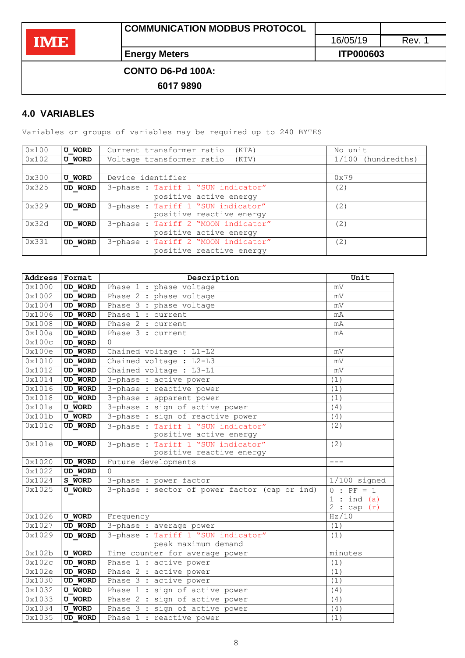**Energy Meters ITP000603** 

 **CONTO D6-Pd 100A:** 

**6017 9890**

## <span id="page-7-0"></span>**4.0 VARIABLES**

Variables or groups of variables may be required up to 240 BYTES

| 0x100 | <b>U WORD</b> | Current transformer ratio<br>(KTA)  | No unit            |
|-------|---------------|-------------------------------------|--------------------|
| 0x102 | <b>U WORD</b> | Voltage transformer ratio<br>(KTV)  | 1/100 (hundredths) |
|       |               |                                     |                    |
| 0x300 | <b>U WORD</b> | Device identifier                   | 0x79               |
| 0x325 | UD WORD       | 3-phase : Tariff 1 "SUN indicator"  | (2)                |
|       |               | positive active energy              |                    |
| 0x329 | UD WORD       | 3-phase : Tariff 1 "SUN indicator"  | (2)                |
|       |               | positive reactive energy            |                    |
| 0x32d | UD WORD       | 3-phase : Tariff 2 "MOON indicator" | (2)                |
|       |               | positive active energy              |                    |
| 0x331 | UD WORD       | 3-phase : Tariff 2 "MOON indicator" | (2)                |
|       |               | positive reactive energy            |                    |

| Address Format |                | Description                                   | Unit           |
|----------------|----------------|-----------------------------------------------|----------------|
| 0x1000         | <b>UD WORD</b> | Phase 1 : phase voltage                       | mV             |
| 0x1002         | <b>UD WORD</b> | Phase 2 : phase voltage                       | mV             |
| 0x1004         | UD WORD        | Phase 3 : phase voltage                       | mV             |
| 0x1006         | <b>UD WORD</b> | Phase 1 : current                             | mA             |
| 0x1008         | <b>UD WORD</b> | Phase 2 : current                             | mA             |
| 0x100a         | <b>UD WORD</b> | Phase 3 : current                             | mA             |
| 0x100c         | <b>UD WORD</b> | $\Omega$                                      |                |
| 0x100e         | <b>UD WORD</b> | Chained voltage : L1-L2                       | mV             |
| 0x1010         | <b>UD WORD</b> | Chained voltage : L2-L3                       | mV             |
| 0x1012         | <b>UD WORD</b> | Chained voltage : L3-L1                       | mV             |
| 0x1014         | <b>UD WORD</b> | 3-phase : active power                        | (1)            |
| 0x1016         | <b>UD WORD</b> | 3-phase : reactive power                      | (1)            |
| 0x1018         | UD WORD        | 3-phase : apparent power                      | (1)            |
| 0x101a         | <b>U WORD</b>  | 3-phase : sign of active power                | (4)            |
| 0x101b         | <b>U WORD</b>  | 3-phase : sign of reactive power              | (4)            |
| 0x101c         | UD WORD        | 3-phase: Tariff 1 "SUN indicator"             | (2)            |
|                |                | positive active energy                        |                |
| 0x101e         | UD WORD        | 3-phase : Tariff 1 "SUN indicator"            | (2)            |
|                |                | positive reactive energy                      |                |
| 0x1020         | <b>UD WORD</b> | Future developments                           | $- - -$        |
| 0x1022         | <b>UD WORD</b> | $\Omega$                                      |                |
| 0x1024         | S WORD         | 3-phase : power factor                        | $1/100$ signed |
| 0x1025         | <b>U WORD</b>  | 3-phase : sector of power factor (cap or ind) | $0 : PF = 1$   |
|                |                |                                               | 1:ind(a)       |
|                |                |                                               | 2:cap(r)       |
| 0x1026         | <b>U WORD</b>  | Frequency                                     | Hz/10          |
| 0x1027         | <b>UD WORD</b> | 3-phase : average power                       | (1)            |
| 0x1029         | <b>UD WORD</b> | 3-phase : Tariff 1 "SUN indicator"            | (1)            |
|                |                | peak maximum demand                           |                |
| 0x102b         | <b>U WORD</b>  | Time counter for average power                | minutes        |
| 0x102c         | <b>UD WORD</b> | Phase 1 : active power                        | (1)            |
| 0x102e         | <b>UD WORD</b> | Phase 2 : active power                        | (1)            |
| 0x1030         | <b>UD WORD</b> | Phase 3 : active power                        | (1)            |
| 0x1032         | <b>U WORD</b>  | Phase 1 : sign of active power                | (4)            |
| 0x1033         | <b>U WORD</b>  | Phase 2 : sign of active power                | (4)            |
| 0x1034         | <b>U WORD</b>  | Phase 3 : sign of active power                | (4)            |
| 0x1035         | UD WORD        | Phase 1 : reactive power                      | (1)            |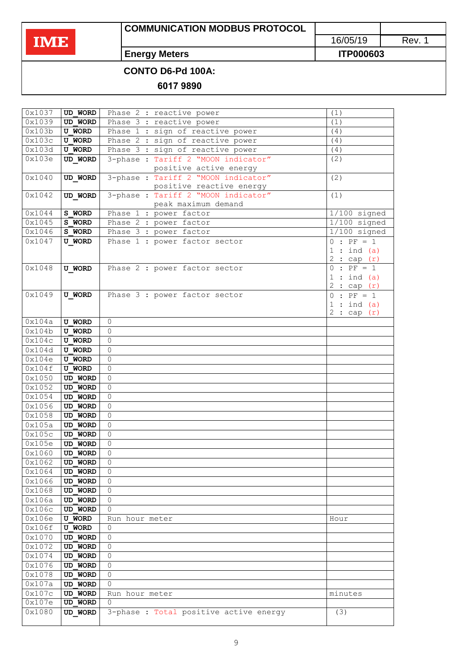# **COMMUNICATION MODBUS PROTOCOL**

16/05/19 Rev. 1

**Energy Meters ITP000603** 

 **CONTO D6-Pd 100A:** 

**6017 9890**

| 0x1037 | <b>UD WORD</b> |                                                                |                           |
|--------|----------------|----------------------------------------------------------------|---------------------------|
| 0x1039 |                | Phase 2 : reactive power                                       | (1)                       |
|        | UD WORD        | Phase 3 : reactive power                                       | (1)                       |
| 0x103b | <b>U WORD</b>  | Phase 1 : sign of reactive power                               | (4)                       |
| 0x103c | <b>U WORD</b>  | Phase 2 : sign of reactive power                               | (4)                       |
| 0x103d | <b>U WORD</b>  | Phase 3 : sign of reactive power                               | (4)                       |
| 0x103e | <b>UD WORD</b> | 3-phase: Tariff 2 "MOON indicator"                             | (2)                       |
|        |                | positive active energy                                         |                           |
| 0x1040 | UD WORD        | 3-phase: Tariff 2 "MOON indicator"<br>positive reactive energy | (2)                       |
| 0x1042 | UD WORD        | 3-phase: Tariff 2 "MOON indicator"                             | (1)                       |
|        |                | peak maximum demand                                            |                           |
| 0x1044 | S WORD         | Phase 1 : power factor                                         | $1/100$ signed            |
| 0x1045 | S WORD         | Phase 2 : power factor                                         | $1/100$ signed            |
| 0x1046 | S WORD         | Phase 3 : power factor                                         | $\overline{1/100}$ signed |
| 0x1047 | <b>U WORD</b>  | Phase 1 : power factor sector                                  | $\overline{0}$ : PF = 1   |
|        |                |                                                                | 1:ind(a)                  |
|        |                |                                                                | 2:cap(r)                  |
| 0x1048 | <b>U WORD</b>  | Phase 2 : power factor sector                                  | $0 : PF = 1$              |
|        |                |                                                                | 1:ind(a)                  |
|        |                |                                                                | 2:cap(r)                  |
| 0x1049 | <b>U WORD</b>  | Phase 3 : power factor sector                                  | $0 : PF = 1$              |
|        |                |                                                                | 1:ind(a)                  |
|        |                |                                                                | 2:cap(r)                  |
| 0x104a | <b>U WORD</b>  | $\Omega$                                                       |                           |
| 0x104b | <b>U WORD</b>  | $\Omega$                                                       |                           |
| 0x104c | <b>U WORD</b>  | $\Omega$                                                       |                           |
| 0x104d | <b>U WORD</b>  | $\Omega$                                                       |                           |
| 0x104e | <b>U WORD</b>  | $\Omega$                                                       |                           |
| 0x104f | <b>U WORD</b>  | $\Omega$                                                       |                           |
| 0x1050 | <b>UD WORD</b> | $\Omega$                                                       |                           |
| 0x1052 | <b>UD WORD</b> | $\Omega$                                                       |                           |
| 0x1054 | <b>UD WORD</b> | $\Omega$                                                       |                           |
| 0x1056 | <b>UD WORD</b> | $\Omega$                                                       |                           |
| 0x1058 |                | $\Omega$                                                       |                           |
|        | <b>UD WORD</b> |                                                                |                           |
| 0x105a | <b>UD WORD</b> | $\Omega$                                                       |                           |
| 0x105c | <b>UD WORD</b> | $\Omega$                                                       |                           |
| 0x105e | UD WORD        | $\Omega$                                                       |                           |
| 0x1060 | <b>UD WORD</b> | $\Omega$                                                       |                           |
| 0x1062 | <b>UD WORD</b> | $\Omega$                                                       |                           |
| 0x1064 | UD WORD        | $\Omega$                                                       |                           |
| 0x1066 | <b>UD WORD</b> | $\Omega$                                                       |                           |
| 0x1068 | UD WORD        | $\Omega$                                                       |                           |
| 0x106a | UD WORD        | $\Omega$                                                       |                           |
| 0x106c | UD WORD        | $\Omega$                                                       |                           |
| 0x106e | <b>U WORD</b>  | Run hour meter                                                 | Hour                      |
| 0x106f | <b>U WORD</b>  | $\Omega$                                                       |                           |
| 0x1070 | <b>UD WORD</b> | $\Omega$                                                       |                           |
| 0x1072 | <b>UD WORD</b> | $\Omega$                                                       |                           |
| 0x1074 | <b>UD WORD</b> | $\Omega$                                                       |                           |
| 0x1076 | UD WORD        | $\Omega$                                                       |                           |
| 0x1078 | <b>UD WORD</b> | $\Omega$                                                       |                           |
| 0x107a | UD WORD        | $\Omega$                                                       |                           |
| 0x107c | UD WORD        | Run hour meter                                                 | minutes                   |
| 0x107e | UD WORD        | 0                                                              |                           |
| 0x1080 | UD WORD        | 3-phase : Total positive active energy                         | (3)                       |
|        |                |                                                                |                           |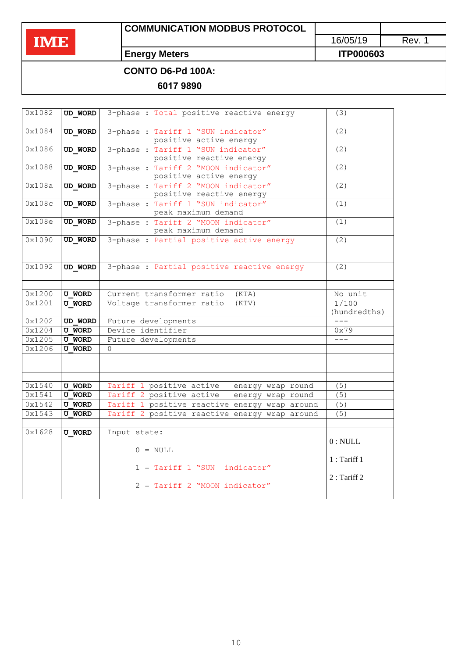# **COMMUNICATION MODBUS PROTOCOL**

16/05/19 Rev. 1

**Energy Meters ITP000603** 

## **CONTO D6-Pd 100A:**

**6017 9890**

| 0x1082 | UD WORD        | 3-phase : Total positive reactive energy                        | (3)                   |
|--------|----------------|-----------------------------------------------------------------|-----------------------|
| 0x1084 | UD WORD        | 3-phase : Tariff 1 "SUN indicator"<br>positive active energy    | (2)                   |
| 0x1086 | UD WORD        | 3-phase : Tariff 1 "SUN indicator"<br>positive reactive energy  | (2)                   |
| 0x1088 | UD WORD        | 3-phase : Tariff 2 "MOON indicator"<br>positive active energy   | (2)                   |
| 0x108a | UD WORD        | 3-phase : Tariff 2 "MOON indicator"<br>positive reactive energy | $\overline{(2)}$      |
| 0x108c | UD WORD        | 3-phase : Tariff 1 "SUN indicator"<br>peak maximum demand       | (1)                   |
| 0x108e | UD WORD        | 3-phase : Tariff 2 "MOON indicator"<br>peak maximum demand      | (1)                   |
| 0x1090 | UD WORD        | 3-phase : Partial positive active energy                        | (2)                   |
| 0x1092 | <b>UD WORD</b> | 3-phase : Partial positive reactive energy                      | (2)                   |
|        |                |                                                                 |                       |
| 0x1200 | <b>U WORD</b>  | Current transformer ratio<br>(KTA)                              | No unit               |
| 0x1201 | <b>U WORD</b>  | Voltage transformer ratio<br>(KTV)                              | 1/100<br>(hundredths) |
| 0x1202 | <b>UD WORD</b> | Future developments                                             |                       |
| 0x1204 | <b>U WORD</b>  | Device identifier                                               | 0x79                  |
| 0x1205 | <b>U WORD</b>  | Future developments                                             | $---$                 |
| 0x1206 | <b>U WORD</b>  | $\Omega$                                                        |                       |
|        |                |                                                                 |                       |
|        |                |                                                                 |                       |
|        |                |                                                                 |                       |
| 0x1540 | <b>U WORD</b>  | Tariff 1 positive active energy wrap round                      | (5)                   |
| 0x1541 | <b>U WORD</b>  | Tariff 2 positive active<br>energy wrap round                   | $\overline{(5)}$      |
| 0x1542 | <b>U WORD</b>  | Tariff 1 positive reactive energy wrap around                   | (5)                   |
| 0x1543 | <b>U WORD</b>  | Tariff 2 positive reactive energy wrap around                   | (5)                   |
|        |                |                                                                 |                       |
| 0x1628 | <b>U WORD</b>  | Input state:<br>$0 = NULL$                                      | 0: NULL               |
|        |                | $1 = Tariff 1$ "SUN indicator"                                  | 1: Tariff 1           |
|        |                | 2 = Tariff 2 "MOON indicator"                                   | $2:$ Tariff 2         |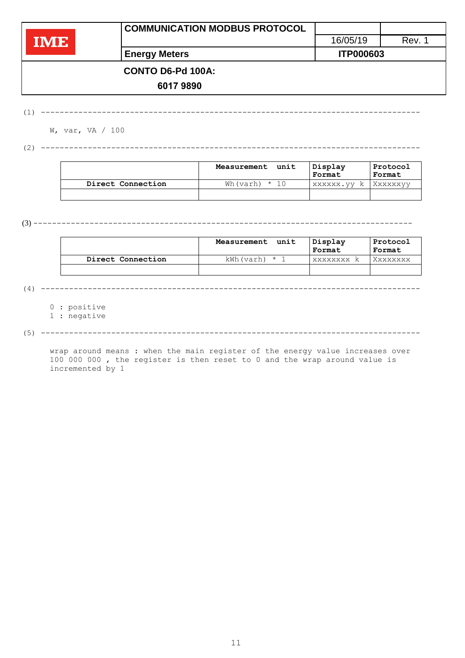|     | <b>COMMUNICATION MODBUS PROTOCOL</b> |                  |        |
|-----|--------------------------------------|------------------|--------|
| IME |                                      | 16/05/19         | Rev. 1 |
|     | <b>Energy Meters</b>                 | <b>ITP000603</b> |        |
|     | <b>CONTO D6-Pd 100A:</b>             |                  |        |
|     | 60179890                             |                  |        |

(1) ---------------------------------------------------------------------------------

W, var, VA / 100

(2) ---------------------------------------------------------------------------------

|                   | unit<br>Measurement | Display<br>Format | Protocol<br>Format |
|-------------------|---------------------|-------------------|--------------------|
| Direct Connection | Wh(varh) $\star$    | XXXXXX.VV<br>k.   | Xxxxxxvv           |
|                   |                     |                   |                    |

(3) ---------------------------------------------------------------------------------

|                   | unit<br>Measurement | Display<br>Format | Protocol<br>Format |
|-------------------|---------------------|-------------------|--------------------|
| Direct Connection | kWh(varh)<br>. * "  | <b>XXXXXXXX</b>   | Xxxxxxxx           |
|                   |                     |                   |                    |

(4) ---------------------------------------------------------------------------------

0 : positive

1 : negative

(5) ---------------------------------------------------------------------------------

wrap around means : when the main register of the energy value increases over 100 000 000 , the register is then reset to 0 and the wrap around value is incremented by 1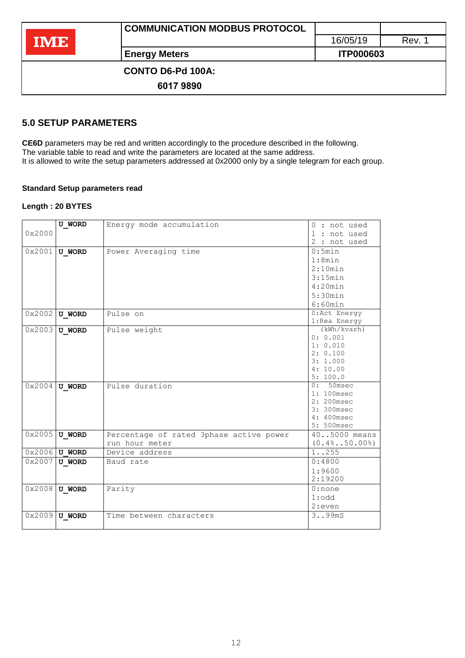|            | <b>COMMUNICATION MODBUS PROTOCOL</b> |                  |        |
|------------|--------------------------------------|------------------|--------|
| <b>IME</b> |                                      | 16/05/19         | Rev. 1 |
|            | <b>Energy Meters</b>                 | <b>ITP000603</b> |        |
|            | <b>CONTO D6-Pd 100A:</b>             |                  |        |
|            | 60179890                             |                  |        |

### <span id="page-11-0"></span>**5.0 SETUP PARAMETERS**

**CE6D** parameters may be red and written accordingly to the procedure described in the following. The variable table to read and write the parameters are located at the same address. It is allowed to write the setup parameters addressed at 0x2000 only by a single telegram for each group.

### **Standard Setup parameters read**

#### **Length : 20 BYTES**

|        | <b>U WORD</b>   | Energy mode accumulation                | $0:$ not used        |
|--------|-----------------|-----------------------------------------|----------------------|
| 0x2000 |                 |                                         | 1 : not used         |
|        |                 |                                         | 2 : not used         |
| 0x2001 | <b>U WORD</b>   | Power Averaging time                    | 0:5min               |
|        |                 |                                         | 1:8min               |
|        |                 |                                         | 2:10min              |
|        |                 |                                         | 3:15min              |
|        |                 |                                         | 4:20min              |
|        |                 |                                         | 5:30min              |
|        |                 |                                         | 6:60min              |
| 0x2002 | <b>U WORD</b>   | Pulse on                                | 0:Act Energy         |
|        |                 |                                         | 1: Rea Energy        |
| 0x2003 | <b>U WORD</b>   | Pulse weight                            | (kWh/kvarh)          |
|        |                 |                                         | 0: 0.001             |
|        |                 |                                         | 1: 0.010<br>2: 0.100 |
|        |                 |                                         | 3:1.000              |
|        |                 |                                         | 4:10.00              |
|        |                 |                                         | 5:100.0              |
| 0x2004 | <b>U WORD</b>   | Pulse duration                          | $0:50$ msec          |
|        |                 |                                         | 1: 100msec           |
|        |                 |                                         | $2:200$ msec         |
|        |                 |                                         | 3: 300msec           |
|        |                 |                                         | 4: 400msec           |
|        |                 |                                         | 5: 500msec           |
| 0x2005 | <b>U WORD</b>   | Percentage of rated 3phase active power | 405000 means         |
|        |                 | run hour meter                          | $(0.4\$ 50.00%)      |
|        | $0x2006$ U WORD | Device address                          | 1. .255              |
| 0x2007 | <b>U WORD</b>   | Baud rate                               | 0:4800               |
|        |                 |                                         | 1:9600               |
|        |                 |                                         | 2:19200              |
|        | $0x2008$ U WORD | Parity                                  | $0:$ none            |
|        |                 |                                         | $1:$ odd             |
|        |                 |                                         | 2:even               |
| 0x2009 | <b>U WORD</b>   | Time between characters                 | 3. .99 <sub>mS</sub> |
|        |                 |                                         |                      |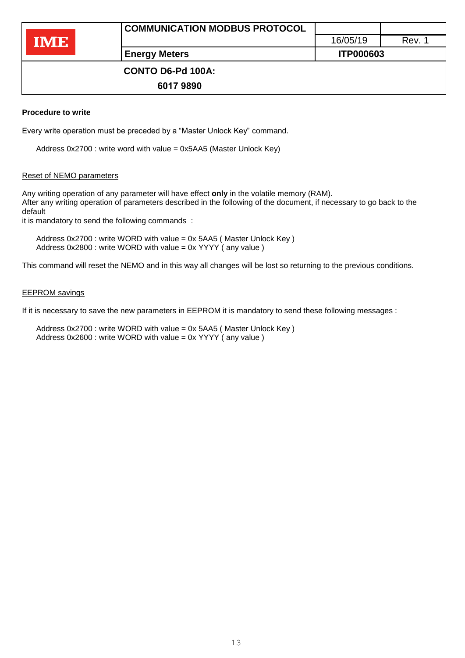# **CONTO D6-Pd 100A:**

**6017 9890**

## **Procedure to write**

Every write operation must be preceded by a "Master Unlock Key" command.

Address 0x2700 : write word with value = 0x5AA5 (Master Unlock Key)

## Reset of NEMO parameters

Any writing operation of any parameter will have effect **only** in the volatile memory (RAM). After any writing operation of parameters described in the following of the document, if necessary to go back to the default

it is mandatory to send the following commands :

Address 0x2700 : write WORD with value = 0x 5AA5 ( Master Unlock Key ) Address 0x2800 : write WORD with value = 0x YYYY ( any value )

This command will reset the NEMO and in this way all changes will be lost so returning to the previous conditions.

### EEPROM savings

If it is necessary to save the new parameters in EEPROM it is mandatory to send these following messages :

Address 0x2700 : write WORD with value = 0x 5AA5 ( Master Unlock Key ) Address 0x2600 : write WORD with value = 0x YYYY ( any value )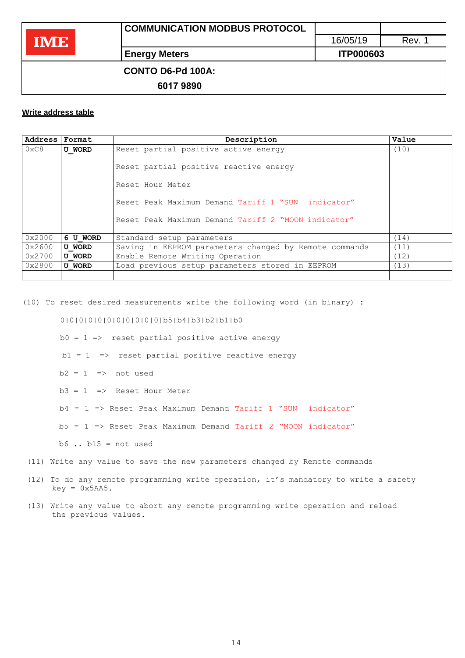## **CONTO D6-Pd 100A:**

**6017 9890**

## **Write address table**

| Address | Format        | Description                                            | Value |
|---------|---------------|--------------------------------------------------------|-------|
| 0xC8    | <b>U WORD</b> | Reset partial positive active energy                   | (10)  |
|         |               | Reset partial positive reactive energy                 |       |
|         |               | Reset Hour Meter                                       |       |
|         |               | Reset Peak Maximum Demand Tariff 1 "SUN indicator"     |       |
|         |               | Reset Peak Maximum Demand Tariff 2 "MOON indicator"    |       |
| 0x2000  | 6 U WORD      | Standard setup parameters                              | (14)  |
| 0x2600  | <b>U WORD</b> | Saving in EEPROM parameters changed by Remote commands | (11)  |
| 0x2700  | <b>U WORD</b> | Enable Remote Writing Operation                        | (12)  |
| 0x2800  | <b>U WORD</b> | Load previous setup parameters stored in EEPROM        | (13)  |
|         |               |                                                        |       |

(10) To reset desired measurements write the following word (in binary) :

0|0|0|0|0|0|0|0|0|0|0|b5|b4|b3|b2|b1|b0

 $b0 = 1 \Rightarrow$  reset partial positive active energy

 $b1 = 1$  => reset partial positive reactive energy

- $b2 = 1$  => not used
- $b3 = 1$  => Reset Hour Meter
- b4 = 1 => Reset Peak Maximum Demand Tariff 1 "SUN indicator"
- b5 = 1 => Reset Peak Maximum Demand Tariff 2 "MOON indicator"

 $b6$  ..  $b15$  = not used

- (11) Write any value to save the new parameters changed by Remote commands
- (12) To do any remote programming write operation, it's mandatory to write a safety  $key = 0x5AA5$ .
- (13) Write any value to abort any remote programming write operation and reload the previous values.